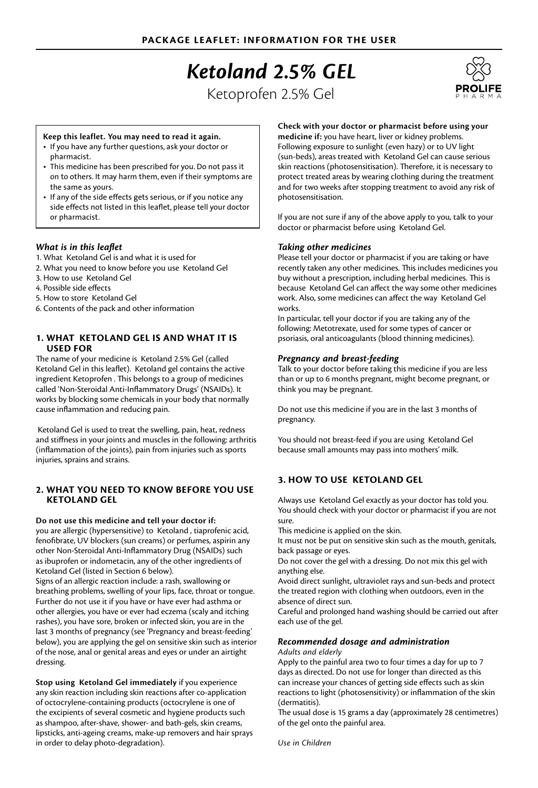# *Ketoland 2.5% GEL*

Ketoprofen 2.5% Gel



#### **Keep this leaflet. You may need to read it again.**

- • If you have any further questions, ask your doctor or pharmacist.
- This medicine has been prescribed for you. Do not pass it on to others. It may harm them, even if their symptoms are the same as yours.
- If any of the side effects gets serious, or if you notice any side effects not listed in this leaflet, please tell your doctor or pharmacist.

#### *What is in this leaflet*

- 1. What Ketoland Gel is and what it is used for
- 2. What you need to know before you use Ketoland Gel
- 3. How to use Ketoland Gel
- 4. Possible side effects
- 5. How to store Ketoland Gel
- 6. Contents of the pack and other information

# **1. WHAT KETOLAND GEL IS AND WHAT IT IS USED FOR**

The name of your medicine is Ketoland 2.5% Gel (called Ketoland Gel in this leaflet). Ketoland gel contains the active ingredient Ketoprofen . This belongs to a group of medicines called 'Non-Steroidal Anti-Inflammatory Drugs' (NSAIDs). It works by blocking some chemicals in your body that normally cause inflammation and reducing pain.

 Ketoland Gel is used to treat the swelling, pain, heat, redness and stiffness in your joints and muscles in the following: arthritis (inflammation of the joints), pain from injuries such as sports injuries, sprains and strains.

### **2. WHAT YOU NEED TO KNOW BEFORE YOU USE KETOLAND GEL**

### **Do not use this medicine and tell your doctor if:**

you are allergic (hypersensitive) to Ketoland , tiaprofenic acid, fenofibrate, UV blockers (sun creams) or perfumes, aspirin any other Non-Steroidal Anti-Inflammatory Drug (NSAIDs) such as ibuprofen or indometacin, any of the other ingredients of Ketoland Gel (listed in Section 6 below).

Signs of an allergic reaction include: a rash, swallowing or breathing problems, swelling of your lips, face, throat or tongue. Further do not use it if you have or have ever had asthma or other allergies, you have or ever had eczema (scaly and itching rashes), you have sore, broken or infected skin, you are in the last 3 months of pregnancy (see 'Pregnancy and breast-feeding' below), you are applying the gel on sensitive skin such as interior of the nose, anal or genital areas and eyes or under an airtight dressing.

**Stop using Ketoland Gel immediately** if you experience any skin reaction including skin reactions after co-application of octocrylene-containing products (octocrylene is one of the excipients of several cosmetic and hygiene products such as shampoo, after-shave, shower- and bath-gels, skin creams, lipsticks, anti-ageing creams, make-up removers and hair sprays in order to delay photo-degradation).

#### **Check with your doctor or pharmacist before using your**

**medicine if:** you have heart, liver or kidney problems. Following exposure to sunlight (even hazy) or to UV light (sun-beds), areas treated with Ketoland Gel can cause serious skin reactions (photosensitisation). Therefore, it is necessary to protect treated areas by wearing clothing during the treatment and for two weeks after stopping treatment to avoid any risk of photosensitisation.

If you are not sure if any of the above apply to you, talk to your doctor or pharmacist before using Ketoland Gel.

## *Taking other medicines*

Please tell your doctor or pharmacist if you are taking or have recently taken any other medicines. This includes medicines you buy without a prescription, including herbal medicines. This is because Ketoland Gel can affect the way some other medicines work. Also, some medicines can affect the way Ketoland Gel works.

In particular, tell your doctor if you are taking any of the following: Metotrexate, used for some types of cancer or psoriasis, oral anticoagulants (blood thinning medicines).

### *Pregnancy and breast-feeding*

Talk to your doctor before taking this medicine if you are less than or up to 6 months pregnant, might become pregnant, or think you may be pregnant.

Do not use this medicine if you are in the last 3 months of pregnancy.

You should not breast-feed if you are using Ketoland Gel because small amounts may pass into mothers' milk.

# **3. HOW TO USE KETOLAND GEL**

Always use Ketoland Gel exactly as your doctor has told you. You should check with your doctor or pharmacist if you are not sure.

This medicine is applied on the skin.

It must not be put on sensitive skin such as the mouth, genitals, back passage or eyes.

Do not cover the gel with a dressing. Do not mix this gel with anything else.

Avoid direct sunlight, ultraviolet rays and sun-beds and protect the treated region with clothing when outdoors, even in the absence of direct sun.

Careful and prolonged hand washing should be carried out after each use of the gel.

# *Recommended dosage and administration*

*Adults and elderly*

Apply to the painful area two to four times a day for up to 7 days as directed. Do not use for longer than directed as this can increase your chances of getting side effects such as skin reactions to light (photosensitivity) or inflammation of the skin (dermatitis).

The usual dose is 15 grams a day (approximately 28 centimetres) of the gel onto the painful area.

*Use in Children*